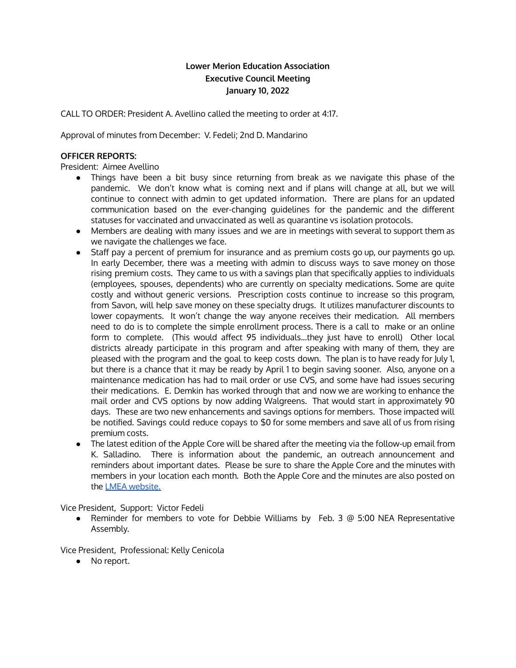# **Lower Merion Education Association Executive Council Meeting January 10, 2022**

CALL TO ORDER: President A. Avellino called the meeting to order at 4:17.

Approval of minutes from December: V. Fedeli; 2nd D. Mandarino

## **OFFICER REPORTS:**

President: Aimee Avellino

- Things have been a bit busy since returning from break as we navigate this phase of the pandemic. We don't know what is coming next and if plans will change at all, but we will continue to connect with admin to get updated information. There are plans for an updated communication based on the ever-changing guidelines for the pandemic and the different statuses for vaccinated and unvaccinated as well as quarantine vs isolation protocols.
- Members are dealing with many issues and we are in meetings with several to support them as we navigate the challenges we face.
- Staff pay a percent of premium for insurance and as premium costs go up, our payments go up. In early December, there was a meeting with admin to discuss ways to save money on those rising premium costs. They came to us with a savings plan that specifically applies to individuals (employees, spouses, dependents) who are currently on specialty medications. Some are quite costly and without generic versions. Prescription costs continue to increase so this program, from Savon, will help save money on these specialty drugs. It utilizes manufacturer discounts to lower copayments. It won't change the way anyone receives their medication. All members need to do is to complete the simple enrollment process. There is a call to make or an online form to complete. (This would affect 95 individuals…they just have to enroll) Other local districts already participate in this program and after speaking with many of them, they are pleased with the program and the goal to keep costs down. The plan is to have ready for July 1, but there is a chance that it may be ready by April 1 to begin saving sooner. Also, anyone on a maintenance medication has had to mail order or use CVS, and some have had issues securing their medications. E. Demkin has worked through that and now we are working to enhance the mail order and CVS options by now adding Walgreens. That would start in approximately 90 days. These are two new enhancements and savings options for members. Those impacted will be notified. Savings could reduce copays to \$0 for some members and save all of us from rising premium costs.
- The latest edition of the Apple Core will be shared after the meeting via the follow-up email from K. Salladino. There is information about the pandemic, an outreach announcement and reminders about important dates. Please be sure to share the Apple Core and the minutes with members in your location each month. Both the Apple Core and the minutes are also posted on the LMEA [website.](https://www.lmeaonline.org/)

Vice President, Support: Victor Fedeli

● Reminder for members to vote for Debbie Williams by Feb. 3 @ 5:00 NEA Representative Assembly.

Vice President, Professional: Kelly Cenicola

● No report.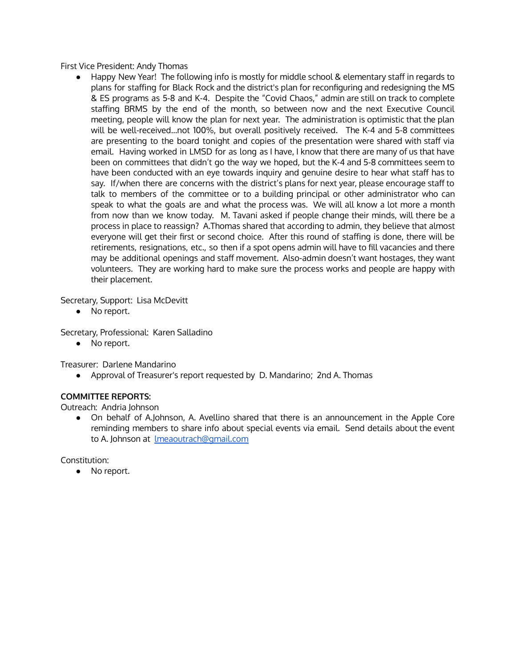First Vice President: Andy Thomas

Happy New Year! The following info is mostly for middle school & elementary staff in regards to plans for staffing for Black Rock and the district's plan for reconfiguring and redesigning the MS & ES programs as 5-8 and K-4. Despite the "Covid Chaos," admin are still on track to complete staffing BRMS by the end of the month, so between now and the next Executive Council meeting, people will know the plan for next year. The administration is optimistic that the plan will be well-received…not 100%, but overall positively received. The K-4 and 5-8 committees are presenting to the board tonight and copies of the presentation were shared with staff via email. Having worked in LMSD for as long as I have, I know that there are many of us that have been on committees that didn't go the way we hoped, but the K-4 and 5-8 committees seem to have been conducted with an eye towards inquiry and genuine desire to hear what staff has to say. If/when there are concerns with the district's plans for next year, please encourage staff to talk to members of the committee or to a building principal or other administrator who can speak to what the goals are and what the process was. We will all know a lot more a month from now than we know today. M. Tavani asked if people change their minds, will there be a process in place to reassign? A.Thomas shared that according to admin, they believe that almost everyone will get their first or second choice. After this round of staffing is done, there will be retirements, resignations, etc., so then if a spot opens admin will have to fill vacancies and there may be additional openings and staff movement. Also-admin doesn't want hostages, they want volunteers. They are working hard to make sure the process works and people are happy with their placement.

Secretary, Support: Lisa McDevitt

● No report.

Secretary, Professional: Karen Salladino

● No report.

Treasurer: Darlene Mandarino

● Approval of Treasurer's report requested by D. Mandarino; 2nd A. Thomas

# **COMMITTEE REPORTS:**

Outreach: Andria Johnson

● On behalf of A.Johnson, A. Avellino shared that there is an announcement in the Apple Core reminding members to share info about special events via email. Send details about the event to A. Johnson at [lmeaoutrach@gmail.com](mailto:lmeaoutrach@gmail.com)

Constitution:

● No report.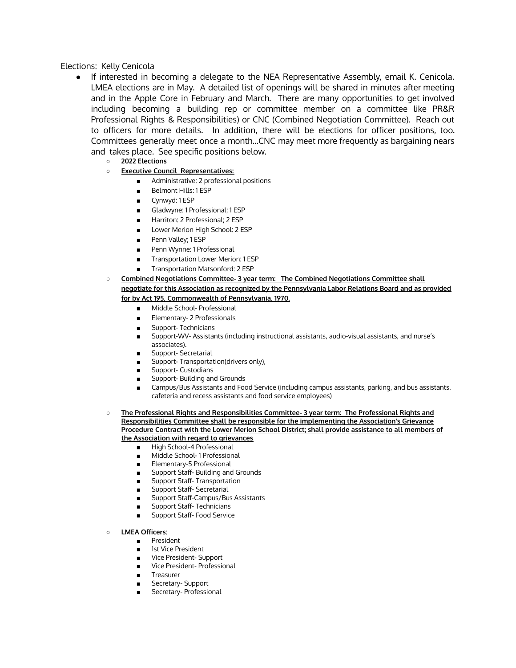#### Elections: Kelly Cenicola

- If interested in becoming a delegate to the NEA Representative Assembly, email K. Cenicola. LMEA elections are in May. A detailed list of openings will be shared in minutes after meeting and in the Apple Core in February and March. There are many opportunities to get involved including becoming a building rep or committee member on a committee like PR&R Professional Rights & Responsibilities) or CNC (Combined Negotiation Committee). Reach out to officers for more details. In addition, there will be elections for officer positions, too. Committees generally meet once a month…CNC may meet more frequently as bargaining nears and takes place. See specific positions below.
	- **2022 Elections**
	- **Executive Council Representatives:**
		- Administrative: 2 professional positions
		- Belmont Hills: 1 ESP
		- Cynwyd: 1 ESP
		- Gladwyne: 1 Professional; 1 ESP
		- Harriton: 2 Professional: 2 ESP
		- Lower Merion High School: 2 ESP
		- Penn Valley; 1 ESP
		- Penn Wynne: 1 Professional
		- Transportation Lower Merion: 1 ESP
		- Transportation Matsonford: 2 ESP
	- **Combined Negotiations Committee- 3 year term: The Combined Negotiations Committee shall negotiate for this Association as recognized by the Pennsylvania Labor Relations Board and as provided for by Act 195, Commonwealth of Pennsylvania, 1970.**
		- Middle School- Professional
		- Elementary- 2 Professionals
		- Support- Technicians
		- Support-WV- Assistants (including instructional assistants, audio-visual assistants, and nurse's associates).
		- Support- Secretarial
		- Support- Transportation(drivers only),
		- Support- Custodians
		- Support- Building and Grounds
		- Campus/Bus Assistants and Food Service (including campus assistants, parking, and bus assistants, cafeteria and recess assistants and food service employees)
	- **The Professional Rights and Responsibilities Committee- 3 year term: The Professional Rights and Responsibilities Committee shall be responsible for the implementing the Association's Grievance Procedure Contract with the Lower Merion School District; shall provide assistance to all members of the Association with regard to grievances**
		- High School-4 Professional
		- Middle School-1 Professional
		- Elementary-5 Professional
		- Support Staff- Building and Grounds
		- Support Staff- Transportation
		- Support Staff- Secretarial
		- Support Staff-Campus/Bus Assistants
		- Support Staff- Technicians
		- Support Staff- Food Service
	- **LMEA Officers**:
		- President
		- 1st Vice President
		- Vice President- Support
		- Vice President- Professional
		- **Treasurer**
		- Secretary- Support
		- Secretary- Professional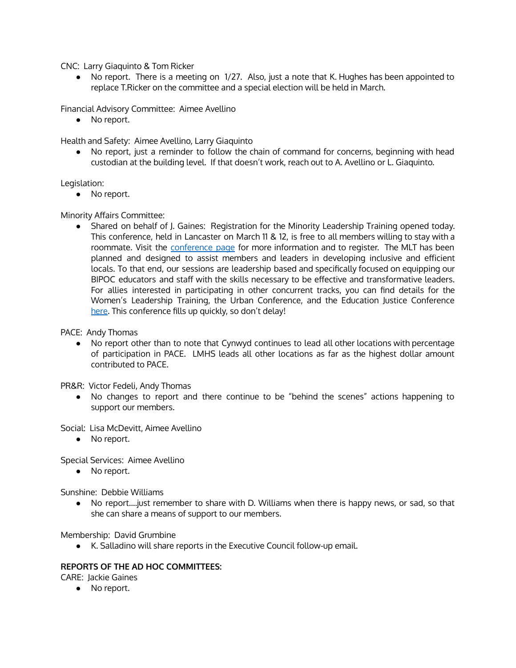CNC: Larry Giaquinto & Tom Ricker

• No report. There is a meeting on 1/27. Also, just a note that K. Hughes has been appointed to replace T.Ricker on the committee and a special election will be held in March.

Financial Advisory Committee: Aimee Avellino

● No report.

Health and Safety: Aimee Avellino, Larry Giaquinto

● No report, just a reminder to follow the chain of command for concerns, beginning with head custodian at the building level. If that doesn't work, reach out to A. Avellino or L. Giaquinto.

Legislation:

● No report.

Minority Affairs Committee:

● Shared on behalf of J. Gaines: Registration for the Minority Leadership Training opened today. This conference, held in Lancaster on March 11 & 12, is free to all members willing to stay with a roommate. Visit the [conference](https://www.psea.org/news--events/conferences/spring-leadership-conference/mlt/) page for more information and to register. The MLT has been planned and designed to assist members and leaders in developing inclusive and efficient locals. To that end, our sessions are leadership based and specifically focused on equipping our BIPOC educators and staff with the skills necessary to be effective and transformative leaders. For allies interested in participating in other concurrent tracks, you can find details for the Women's Leadership Training, the Urban Conference, and the Education Justice Conference [here.](https://www.psea.org/news--events/conferences/spring-leadership-conference/mlt/) This conference fills up quickly, so don't delay!

PACE: Andy Thomas

● No report other than to note that Cynwyd continues to lead all other locations with percentage of participation in PACE. LMHS leads all other locations as far as the highest dollar amount contributed to PACE.

PR&R: Victor Fedeli, Andy Thomas

● No changes to report and there continue to be "behind the scenes" actions happening to support our members.

Social: Lisa McDevitt, Aimee Avellino

• No report.

Special Services: Aimee Avellino

● No report.

Sunshine: Debbie Williams

● No report….just remember to share with D. Williams when there is happy news, or sad, so that she can share a means of support to our members.

Membership: David Grumbine

● K. Salladino will share reports in the Executive Council follow-up email.

### **REPORTS OF THE AD HOC COMMITTEES:**

CARE: Jackie Gaines

● No report.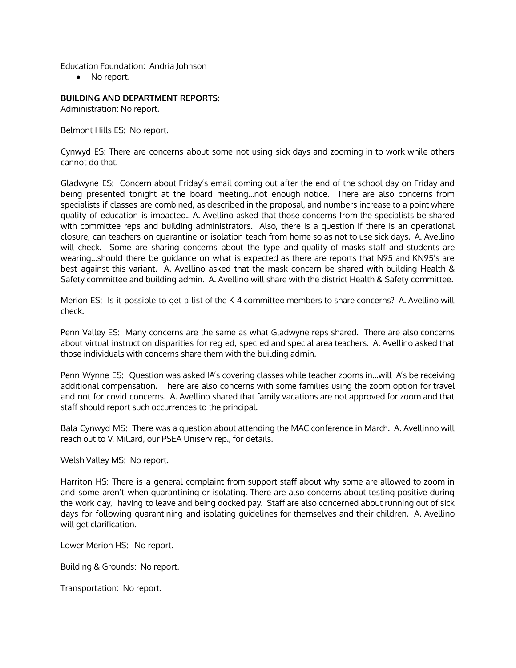Education Foundation: Andria Johnson

● No report.

### **BUILDING AND DEPARTMENT REPORTS:**

Administration: No report.

Belmont Hills ES: No report.

Cynwyd ES: There are concerns about some not using sick days and zooming in to work while others cannot do that.

Gladwyne ES: Concern about Friday's email coming out after the end of the school day on Friday and being presented tonight at the board meeting…not enough notice. There are also concerns from specialists if classes are combined, as described in the proposal, and numbers increase to a point where quality of education is impacted.. A. Avellino asked that those concerns from the specialists be shared with committee reps and building administrators. Also, there is a question if there is an operational closure, can teachers on quarantine or isolation teach from home so as not to use sick days. A. Avellino will check. Some are sharing concerns about the type and quality of masks staff and students are wearing…should there be guidance on what is expected as there are reports that N95 and KN95's are best against this variant. A. Avellino asked that the mask concern be shared with building Health & Safety committee and building admin. A. Avellino will share with the district Health & Safety committee.

Merion ES: Is it possible to get a list of the K-4 committee members to share concerns? A. Avellino will check.

Penn Valley ES: Many concerns are the same as what Gladwyne reps shared. There are also concerns about virtual instruction disparities for reg ed, spec ed and special area teachers. A. Avellino asked that those individuals with concerns share them with the building admin.

Penn Wynne ES: Question was asked IA's covering classes while teacher zooms in…will IA's be receiving additional compensation. There are also concerns with some families using the zoom option for travel and not for covid concerns. A. Avellino shared that family vacations are not approved for zoom and that staff should report such occurrences to the principal.

Bala Cynwyd MS: There was a question about attending the MAC conference in March. A. Avellinno will reach out to V. Millard, our PSEA Uniserv rep., for details.

Welsh Valley MS: No report.

Harriton HS: There is a general complaint from support staff about why some are allowed to zoom in and some aren't when quarantining or isolating. There are also concerns about testing positive during the work day, having to leave and being docked pay. Staff are also concerned about running out of sick days for following quarantining and isolating guidelines for themselves and their children. A. Avellino will get clarification.

Lower Merion HS: No report.

Building & Grounds: No report.

Transportation: No report.